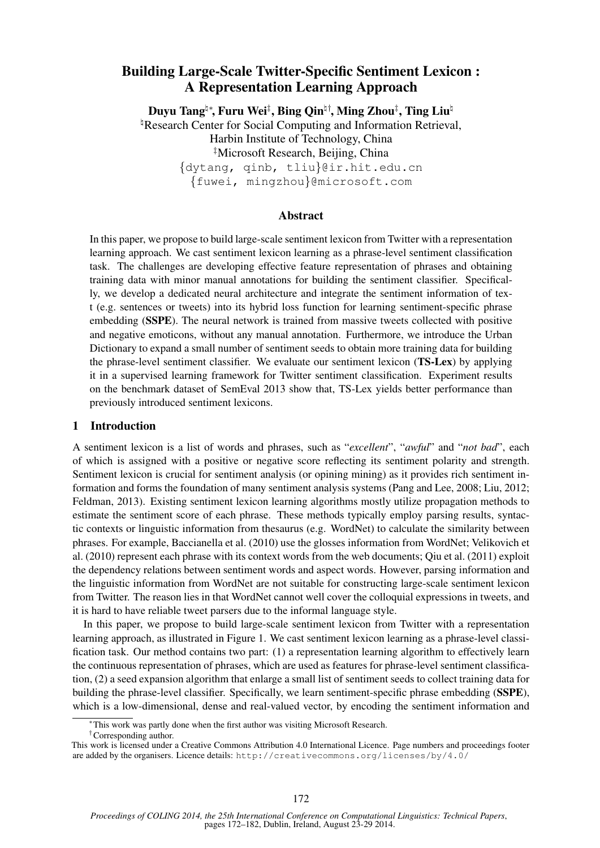# Building Large-Scale Twitter-Specific Sentiment Lexicon : A Representation Learning Approach

Duyu Tangʰ\*, Furu Wei $^\ddag$ , Bing Qinʰ†, Ming Zhou $^\ddag$ , Ting Liuʰ <sup>h</sup>Research Center for Social Computing and Information Retrieval, Harbin Institute of Technology, China ‡Microsoft Research, Beijing, China {dytang, qinb, tliu}@ir.hit.edu.cn {fuwei, mingzhou}@microsoft.com

## Abstract

In this paper, we propose to build large-scale sentiment lexicon from Twitter with a representation learning approach. We cast sentiment lexicon learning as a phrase-level sentiment classification task. The challenges are developing effective feature representation of phrases and obtaining training data with minor manual annotations for building the sentiment classifier. Specifically, we develop a dedicated neural architecture and integrate the sentiment information of text (e.g. sentences or tweets) into its hybrid loss function for learning sentiment-specific phrase embedding (SSPE). The neural network is trained from massive tweets collected with positive and negative emoticons, without any manual annotation. Furthermore, we introduce the Urban Dictionary to expand a small number of sentiment seeds to obtain more training data for building the phrase-level sentiment classifier. We evaluate our sentiment lexicon (TS-Lex) by applying it in a supervised learning framework for Twitter sentiment classification. Experiment results on the benchmark dataset of SemEval 2013 show that, TS-Lex yields better performance than previously introduced sentiment lexicons.

## 1 Introduction

A sentiment lexicon is a list of words and phrases, such as "*excellent*", "*awful*" and "*not bad*", each of which is assigned with a positive or negative score reflecting its sentiment polarity and strength. Sentiment lexicon is crucial for sentiment analysis (or opining mining) as it provides rich sentiment information and forms the foundation of many sentiment analysis systems (Pang and Lee, 2008; Liu, 2012; Feldman, 2013). Existing sentiment lexicon learning algorithms mostly utilize propagation methods to estimate the sentiment score of each phrase. These methods typically employ parsing results, syntactic contexts or linguistic information from thesaurus (e.g. WordNet) to calculate the similarity between phrases. For example, Baccianella et al. (2010) use the glosses information from WordNet; Velikovich et al. (2010) represent each phrase with its context words from the web documents; Qiu et al. (2011) exploit the dependency relations between sentiment words and aspect words. However, parsing information and the linguistic information from WordNet are not suitable for constructing large-scale sentiment lexicon from Twitter. The reason lies in that WordNet cannot well cover the colloquial expressions in tweets, and it is hard to have reliable tweet parsers due to the informal language style.

In this paper, we propose to build large-scale sentiment lexicon from Twitter with a representation learning approach, as illustrated in Figure 1. We cast sentiment lexicon learning as a phrase-level classification task. Our method contains two part: (1) a representation learning algorithm to effectively learn the continuous representation of phrases, which are used as features for phrase-level sentiment classification, (2) a seed expansion algorithm that enlarge a small list of sentiment seeds to collect training data for building the phrase-level classifier. Specifically, we learn sentiment-specific phrase embedding (SSPE), which is a low-dimensional, dense and real-valued vector, by encoding the sentiment information and

†Corresponding author.

<sup>∗</sup>This work was partly done when the first author was visiting Microsoft Research.

This work is licensed under a Creative Commons Attribution 4.0 International Licence. Page numbers and proceedings footer are added by the organisers. Licence details: http://creativecommons.org/licenses/by/4.0/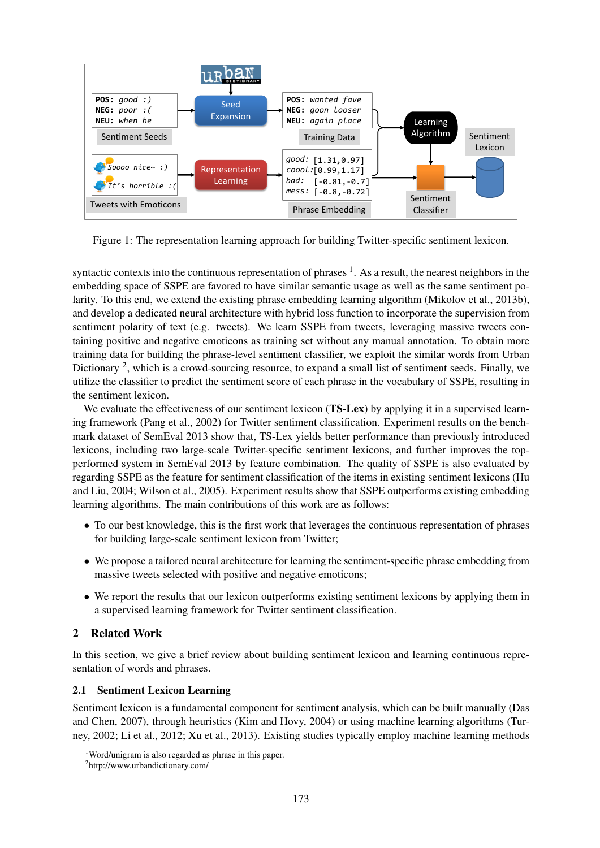

Figure 1: The representation learning approach for building Twitter-specific sentiment lexicon.

syntactic contexts into the continuous representation of phrases  $<sup>1</sup>$ . As a result, the nearest neighbors in the</sup> embedding space of SSPE are favored to have similar semantic usage as well as the same sentiment polarity. To this end, we extend the existing phrase embedding learning algorithm (Mikolov et al., 2013b), and develop a dedicated neural architecture with hybrid loss function to incorporate the supervision from sentiment polarity of text (e.g. tweets). We learn SSPE from tweets, leveraging massive tweets containing positive and negative emoticons as training set without any manual annotation. To obtain more training data for building the phrase-level sentiment classifier, we exploit the similar words from Urban Dictionary <sup>2</sup>, which is a crowd-sourcing resource, to expand a small list of sentiment seeds. Finally, we utilize the classifier to predict the sentiment score of each phrase in the vocabulary of SSPE, resulting in the sentiment lexicon.

We evaluate the effectiveness of our sentiment lexicon (TS-Lex) by applying it in a supervised learning framework (Pang et al., 2002) for Twitter sentiment classification. Experiment results on the benchmark dataset of SemEval 2013 show that, TS-Lex yields better performance than previously introduced lexicons, including two large-scale Twitter-specific sentiment lexicons, and further improves the topperformed system in SemEval 2013 by feature combination. The quality of SSPE is also evaluated by regarding SSPE as the feature for sentiment classification of the items in existing sentiment lexicons (Hu and Liu, 2004; Wilson et al., 2005). Experiment results show that SSPE outperforms existing embedding learning algorithms. The main contributions of this work are as follows:

- To our best knowledge, this is the first work that leverages the continuous representation of phrases for building large-scale sentiment lexicon from Twitter;
- We propose a tailored neural architecture for learning the sentiment-specific phrase embedding from massive tweets selected with positive and negative emoticons;
- We report the results that our lexicon outperforms existing sentiment lexicons by applying them in a supervised learning framework for Twitter sentiment classification.

## 2 Related Work

In this section, we give a brief review about building sentiment lexicon and learning continuous representation of words and phrases.

## 2.1 Sentiment Lexicon Learning

Sentiment lexicon is a fundamental component for sentiment analysis, which can be built manually (Das and Chen, 2007), through heuristics (Kim and Hovy, 2004) or using machine learning algorithms (Turney, 2002; Li et al., 2012; Xu et al., 2013). Existing studies typically employ machine learning methods

<sup>&</sup>lt;sup>1</sup>Word/unigram is also regarded as phrase in this paper.

<sup>2</sup> http://www.urbandictionary.com/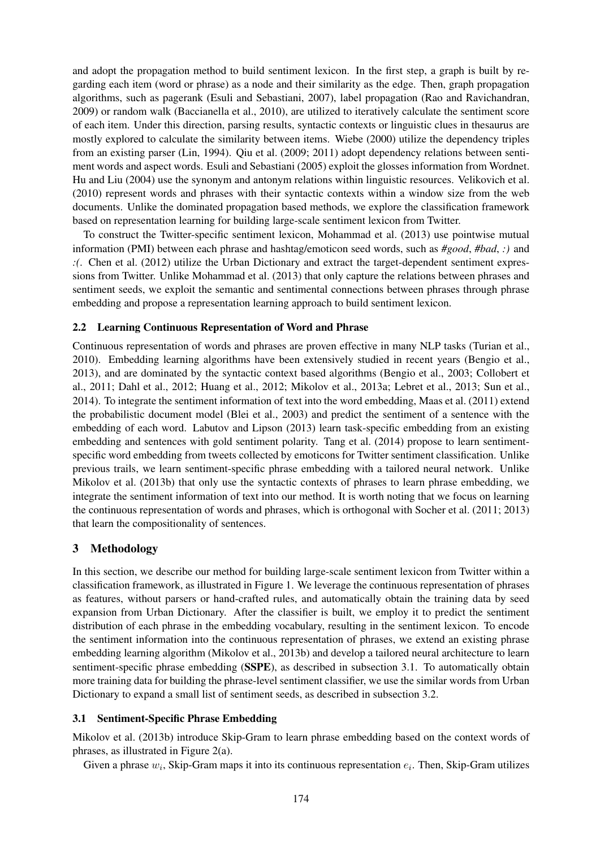and adopt the propagation method to build sentiment lexicon. In the first step, a graph is built by regarding each item (word or phrase) as a node and their similarity as the edge. Then, graph propagation algorithms, such as pagerank (Esuli and Sebastiani, 2007), label propagation (Rao and Ravichandran, 2009) or random walk (Baccianella et al., 2010), are utilized to iteratively calculate the sentiment score of each item. Under this direction, parsing results, syntactic contexts or linguistic clues in thesaurus are mostly explored to calculate the similarity between items. Wiebe (2000) utilize the dependency triples from an existing parser (Lin, 1994). Qiu et al. (2009; 2011) adopt dependency relations between sentiment words and aspect words. Esuli and Sebastiani (2005) exploit the glosses information from Wordnet. Hu and Liu (2004) use the synonym and antonym relations within linguistic resources. Velikovich et al. (2010) represent words and phrases with their syntactic contexts within a window size from the web documents. Unlike the dominated propagation based methods, we explore the classification framework based on representation learning for building large-scale sentiment lexicon from Twitter.

To construct the Twitter-specific sentiment lexicon, Mohammad et al. (2013) use pointwise mutual information (PMI) between each phrase and hashtag/emoticon seed words, such as *#good*, *#bad*, *:)* and *:(*. Chen et al. (2012) utilize the Urban Dictionary and extract the target-dependent sentiment expressions from Twitter. Unlike Mohammad et al. (2013) that only capture the relations between phrases and sentiment seeds, we exploit the semantic and sentimental connections between phrases through phrase embedding and propose a representation learning approach to build sentiment lexicon.

## 2.2 Learning Continuous Representation of Word and Phrase

Continuous representation of words and phrases are proven effective in many NLP tasks (Turian et al., 2010). Embedding learning algorithms have been extensively studied in recent years (Bengio et al., 2013), and are dominated by the syntactic context based algorithms (Bengio et al., 2003; Collobert et al., 2011; Dahl et al., 2012; Huang et al., 2012; Mikolov et al., 2013a; Lebret et al., 2013; Sun et al., 2014). To integrate the sentiment information of text into the word embedding, Maas et al. (2011) extend the probabilistic document model (Blei et al., 2003) and predict the sentiment of a sentence with the embedding of each word. Labutov and Lipson (2013) learn task-specific embedding from an existing embedding and sentences with gold sentiment polarity. Tang et al. (2014) propose to learn sentimentspecific word embedding from tweets collected by emoticons for Twitter sentiment classification. Unlike previous trails, we learn sentiment-specific phrase embedding with a tailored neural network. Unlike Mikolov et al. (2013b) that only use the syntactic contexts of phrases to learn phrase embedding, we integrate the sentiment information of text into our method. It is worth noting that we focus on learning the continuous representation of words and phrases, which is orthogonal with Socher et al. (2011; 2013) that learn the compositionality of sentences.

## 3 Methodology

In this section, we describe our method for building large-scale sentiment lexicon from Twitter within a classification framework, as illustrated in Figure 1. We leverage the continuous representation of phrases as features, without parsers or hand-crafted rules, and automatically obtain the training data by seed expansion from Urban Dictionary. After the classifier is built, we employ it to predict the sentiment distribution of each phrase in the embedding vocabulary, resulting in the sentiment lexicon. To encode the sentiment information into the continuous representation of phrases, we extend an existing phrase embedding learning algorithm (Mikolov et al., 2013b) and develop a tailored neural architecture to learn sentiment-specific phrase embedding (SSPE), as described in subsection 3.1. To automatically obtain more training data for building the phrase-level sentiment classifier, we use the similar words from Urban Dictionary to expand a small list of sentiment seeds, as described in subsection 3.2.

## 3.1 Sentiment-Specific Phrase Embedding

Mikolov et al. (2013b) introduce Skip-Gram to learn phrase embedding based on the context words of phrases, as illustrated in Figure 2(a).

Given a phrase  $w_i$ , Skip-Gram maps it into its continuous representation  $e_i$ . Then, Skip-Gram utilizes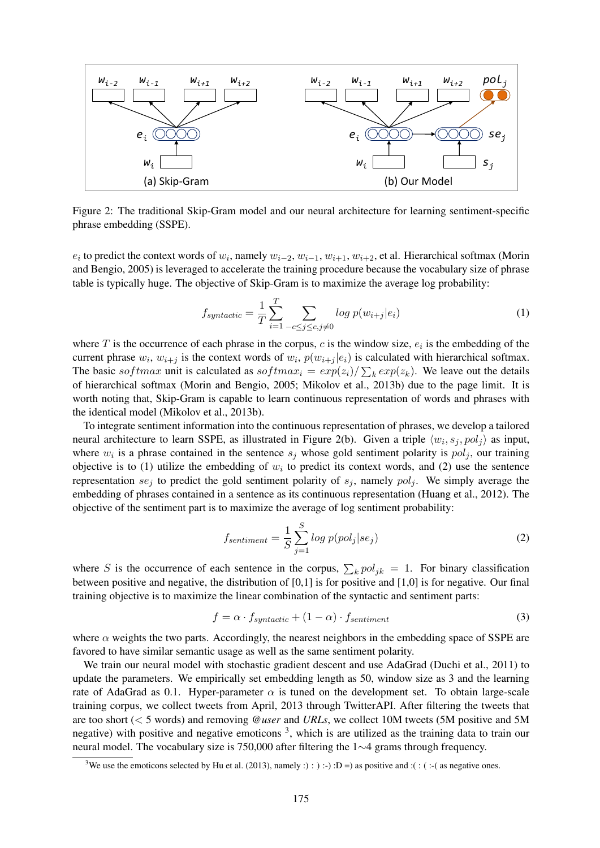

Figure 2: The traditional Skip-Gram model and our neural architecture for learning sentiment-specific phrase embedding (SSPE).

 $e_i$  to predict the context words of  $w_i$ , namely  $w_{i-2}$ ,  $w_{i-1}$ ,  $w_{i+1}$ ,  $w_{i+2}$ , et al. Hierarchical softmax (Morin and Bengio, 2005) is leveraged to accelerate the training procedure because the vocabulary size of phrase table is typically huge. The objective of Skip-Gram is to maximize the average log probability:

$$
f_{syntactic} = \frac{1}{T} \sum_{i=1}^{T} \sum_{-c \le j \le c, j \ne 0} \log p(w_{i+j}|e_i)
$$
 (1)

where  $T$  is the occurrence of each phrase in the corpus,  $c$  is the window size,  $e_i$  is the embedding of the current phrase  $w_i$ ,  $w_{i+j}$  is the context words of  $w_i$ ,  $p(w_{i+j}|e_i)$  is calculated with hierarchical softmax. The basic softmax unit is calculated as softma $x_i = exp(z_i)/\sum_k exp(z_k)$ . We leave out the details of hierarchical softmax (Morin and Bengio, 2005; Mikolov et al., 2013b) due to the page limit. It is worth noting that, Skip-Gram is capable to learn continuous representation of words and phrases with the identical model (Mikolov et al., 2013b).

To integrate sentiment information into the continuous representation of phrases, we develop a tailored neural architecture to learn SSPE, as illustrated in Figure 2(b). Given a triple  $\langle w_i, s_j, pol_j \rangle$  as input, where  $w_i$  is a phrase contained in the sentence  $s_j$  whose gold sentiment polarity is  $pol_j$ , our training objective is to (1) utilize the embedding of  $w_i$  to predict its context words, and (2) use the sentence representation  $se_i$  to predict the gold sentiment polarity of  $s_i$ , namely  $pol_i$ . We simply average the embedding of phrases contained in a sentence as its continuous representation (Huang et al., 2012). The objective of the sentiment part is to maximize the average of log sentiment probability:

$$
f_{sentiment} = \frac{1}{S} \sum_{j=1}^{S} log p(pol_j | se_j)
$$
 (2)

where S is the occurrence of each sentence in the corpus,  $\sum_k pol_{jk} = 1$ . For binary classification between positive and negative, the distribution of [0,1] is for positive and [1,0] is for negative. Our final training objective is to maximize the linear combination of the syntactic and sentiment parts:

$$
f = \alpha \cdot f_{syntactic} + (1 - \alpha) \cdot f_{sentiment} \tag{3}
$$

where  $\alpha$  weights the two parts. Accordingly, the nearest neighbors in the embedding space of SSPE are favored to have similar semantic usage as well as the same sentiment polarity.

We train our neural model with stochastic gradient descent and use AdaGrad (Duchi et al., 2011) to update the parameters. We empirically set embedding length as 50, window size as 3 and the learning rate of AdaGrad as 0.1. Hyper-parameter  $\alpha$  is tuned on the development set. To obtain large-scale training corpus, we collect tweets from April, 2013 through TwitterAPI. After filtering the tweets that are too short (< 5 words) and removing *@user* and *URLs*, we collect 10M tweets (5M positive and 5M negative) with positive and negative emoticons<sup>3</sup>, which is are utilized as the training data to train our neural model. The vocabulary size is 750,000 after filtering the 1∼4 grams through frequency.

<sup>&</sup>lt;sup>3</sup>We use the emoticons selected by Hu et al. (2013), namely :  $\cdot$  :  $\cdot$  :  $\cdot$  : D =  $\cdot$  as positive and :( :  $\cdot$  ( as negative ones.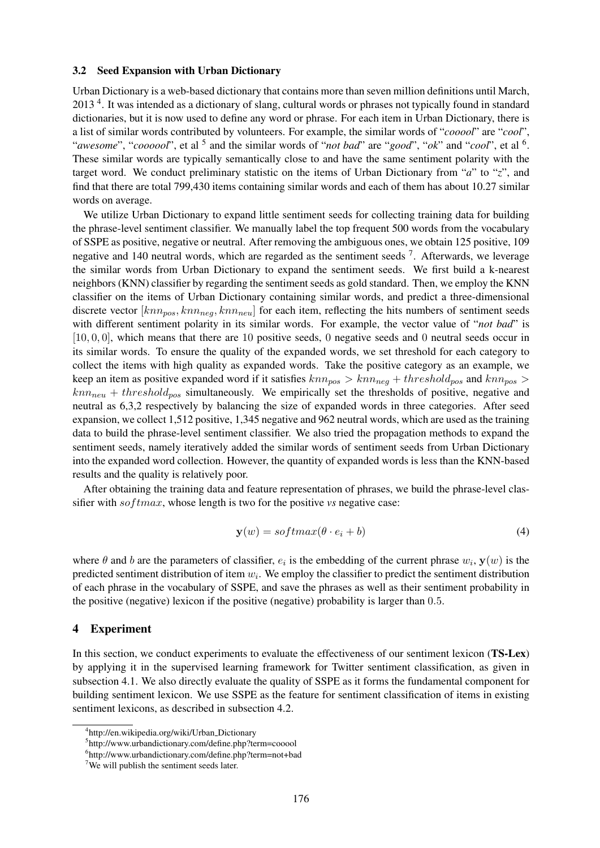#### 3.2 Seed Expansion with Urban Dictionary

Urban Dictionary is a web-based dictionary that contains more than seven million definitions until March, 2013<sup>4</sup>. It was intended as a dictionary of slang, cultural words or phrases not typically found in standard dictionaries, but it is now used to define any word or phrase. For each item in Urban Dictionary, there is a list of similar words contributed by volunteers. For example, the similar words of "*cooool*" are "*cool*", "*awesome*", "*coooool*", et al <sup>5</sup> and the similar words of "*not bad*" are "*good*", "*ok*" and "*cool*", et al <sup>6</sup>. These similar words are typically semantically close to and have the same sentiment polarity with the target word. We conduct preliminary statistic on the items of Urban Dictionary from "*a*" to "*z*", and find that there are total 799,430 items containing similar words and each of them has about 10.27 similar words on average.

We utilize Urban Dictionary to expand little sentiment seeds for collecting training data for building the phrase-level sentiment classifier. We manually label the top frequent 500 words from the vocabulary of SSPE as positive, negative or neutral. After removing the ambiguous ones, we obtain 125 positive, 109 negative and 140 neutral words, which are regarded as the sentiment seeds <sup>7</sup>. Afterwards, we leverage the similar words from Urban Dictionary to expand the sentiment seeds. We first build a k-nearest neighbors (KNN) classifier by regarding the sentiment seeds as gold standard. Then, we employ the KNN classifier on the items of Urban Dictionary containing similar words, and predict a three-dimensional discrete vector  $[knn<sub>pos</sub>, knn<sub>neg</sub>, knn<sub>neu</sub>]$  for each item, reflecting the hits numbers of sentiment seeds with different sentiment polarity in its similar words. For example, the vector value of "*not bad*" is [10, 0, 0], which means that there are 10 positive seeds, 0 negative seeds and 0 neutral seeds occur in its similar words. To ensure the quality of the expanded words, we set threshold for each category to collect the items with high quality as expanded words. Take the positive category as an example, we keep an item as positive expanded word if it satisfies  $knn_{pos} > knn_{neg} + threshold_{pos}$  and  $knn_{pos} >$  $knn<sub>neu</sub> + threshold<sub>pos</sub>$  simultaneously. We empirically set the thresholds of positive, negative and neutral as 6,3,2 respectively by balancing the size of expanded words in three categories. After seed expansion, we collect 1,512 positive, 1,345 negative and 962 neutral words, which are used as the training data to build the phrase-level sentiment classifier. We also tried the propagation methods to expand the sentiment seeds, namely iteratively added the similar words of sentiment seeds from Urban Dictionary into the expanded word collection. However, the quantity of expanded words is less than the KNN-based results and the quality is relatively poor.

After obtaining the training data and feature representation of phrases, we build the phrase-level classifier with *softmax*, whose length is two for the positive *vs* negative case:

$$
\mathbf{y}(w) = softmax(\theta \cdot e_i + b) \tag{4}
$$

where  $\theta$  and  $b$  are the parameters of classifier,  $e_i$  is the embedding of the current phrase  $w_i$ ,  $y(w)$  is the predicted sentiment distribution of item  $w_i$ . We employ the classifier to predict the sentiment distribution of each phrase in the vocabulary of SSPE, and save the phrases as well as their sentiment probability in the positive (negative) lexicon if the positive (negative) probability is larger than 0.5.

### 4 Experiment

In this section, we conduct experiments to evaluate the effectiveness of our sentiment lexicon (TS-Lex) by applying it in the supervised learning framework for Twitter sentiment classification, as given in subsection 4.1. We also directly evaluate the quality of SSPE as it forms the fundamental component for building sentiment lexicon. We use SSPE as the feature for sentiment classification of items in existing sentiment lexicons, as described in subsection 4.2.

<sup>4</sup> http://en.wikipedia.org/wiki/Urban Dictionary

<sup>&</sup>lt;sup>5</sup>http://www.urbandictionary.com/define.php?term=cooool

<sup>6</sup> http://www.urbandictionary.com/define.php?term=not+bad

 $7$ We will publish the sentiment seeds later.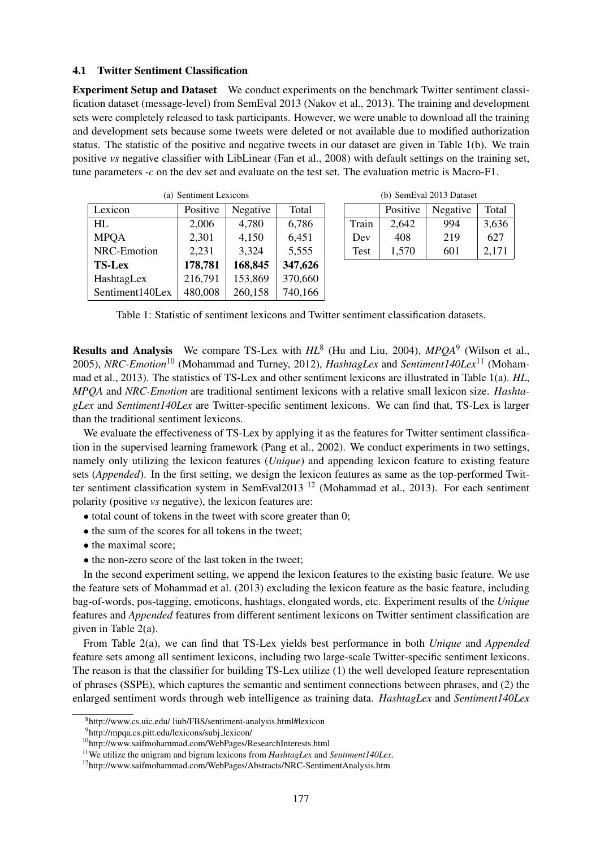#### 4.1 Twitter Sentiment Classification

Experiment Setup and Dataset We conduct experiments on the benchmark Twitter sentiment classification dataset (message-level) from SemEval 2013 (Nakov et al., 2013). The training and development sets were completely released to task participants. However, we were unable to download all the training and development sets because some tweets were deleted or not available due to modified authorization status. The statistic of the positive and negative tweets in our dataset are given in Table 1(b). We train positive *vs* negative classifier with LibLinear (Fan et al., 2008) with default settings on the training set, tune parameters *-c* on the dev set and evaluate on the test set. The evaluation metric is Macro-F1.

| (a) Sentiment Lexicons |          |          |         |  |  |  |
|------------------------|----------|----------|---------|--|--|--|
| Lexicon                | Positive | Negative | Total   |  |  |  |
| HL                     | 2,006    | 4,780    | 6,786   |  |  |  |
| <b>MPQA</b>            | 2,301    | 4,150    | 6,451   |  |  |  |
| NRC-Emotion            | 2,231    | 3,324    | 5,555   |  |  |  |
| <b>TS-Lex</b>          | 178,781  | 168,845  | 347,626 |  |  |  |
| HashtagLex             | 216,791  | 153,869  | 370,660 |  |  |  |
| Sentiment140Lex        | 480,008  | 260,158  | 740,166 |  |  |  |

(b) SemEval 2013 Dataset

|             | Positive | Negative | Total |  |
|-------------|----------|----------|-------|--|
| Train       | 2,642    | 994      | 3,636 |  |
| Dev         | 408      | 219      | 627   |  |
| <b>Test</b> | 1,570    | 601      | 2.171 |  |

Table 1: Statistic of sentiment lexicons and Twitter sentiment classification datasets.

Results and Analysis We compare TS-Lex with  $HL^8$  (Hu and Liu, 2004),  $MPQA^9$  (Wilson et al., 2005), *NRC-Emotion*<sup>10</sup> (Mohammad and Turney, 2012), *HashtagLex* and *Sentiment140Lex*<sup>11</sup> (Mohammad et al., 2013). The statistics of TS-Lex and other sentiment lexicons are illustrated in Table 1(a). *HL*, *MPQA* and *NRC-Emotion* are traditional sentiment lexicons with a relative small lexicon size. *HashtagLex* and *Sentiment140Lex* are Twitter-specific sentiment lexicons. We can find that, TS-Lex is larger than the traditional sentiment lexicons.

We evaluate the effectiveness of TS-Lex by applying it as the features for Twitter sentiment classification in the supervised learning framework (Pang et al., 2002). We conduct experiments in two settings, namely only utilizing the lexicon features (*Unique*) and appending lexicon feature to existing feature sets (*Appended*). In the first setting, we design the lexicon features as same as the top-performed Twitter sentiment classification system in SemEval2013<sup>12</sup> (Mohammad et al., 2013). For each sentiment polarity (positive *vs* negative), the lexicon features are:

- total count of tokens in the tweet with score greater than 0;
- the sum of the scores for all tokens in the tweet;
- the maximal score;
- the non-zero score of the last token in the tweet;

In the second experiment setting, we append the lexicon features to the existing basic feature. We use the feature sets of Mohammad et al. (2013) excluding the lexicon feature as the basic feature, including bag-of-words, pos-tagging, emoticons, hashtags, elongated words, etc. Experiment results of the *Unique* features and *Appended* features from different sentiment lexicons on Twitter sentiment classification are given in Table 2(a).

From Table 2(a), we can find that TS-Lex yields best performance in both *Unique* and *Appended* feature sets among all sentiment lexicons, including two large-scale Twitter-specific sentiment lexicons. The reason is that the classifier for building TS-Lex utilize (1) the well developed feature representation of phrases (SSPE), which captures the semantic and sentiment connections between phrases, and (2) the enlarged sentiment words through web intelligence as training data. *HashtagLex* and *Sentiment140Lex*

<sup>8</sup> http://www.cs.uic.edu/ liub/FBS/sentiment-analysis.html#lexicon

<sup>9</sup> http://mpqa.cs.pitt.edu/lexicons/subj lexicon/

<sup>10</sup>http://www.saifmohammad.com/WebPages/ResearchInterests.html

<sup>11</sup>We utilize the unigram and bigram lexicons from *HashtagLex* and *Sentiment140Lex*.

<sup>&</sup>lt;sup>12</sup>http://www.saifmohammad.com/WebPages/Abstracts/NRC-SentimentAnalysis.htm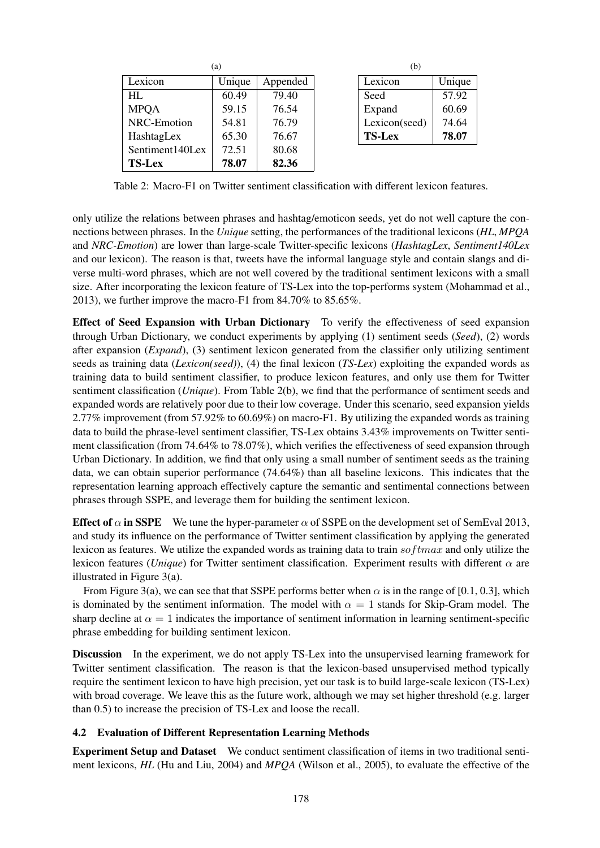| (a)             |        |          |  |  |
|-----------------|--------|----------|--|--|
| Lexicon         | Unique | Appended |  |  |
| HI.             | 60.49  | 79.40    |  |  |
| <b>MPQA</b>     | 59.15  | 76.54    |  |  |
| NRC-Emotion     | 54.81  | 76.79    |  |  |
| HashtagLex      | 65.30  | 76.67    |  |  |
| Sentiment140Lex | 72.51  | 80.68    |  |  |
| <b>TS-Lex</b>   | 78.07  | 82.36    |  |  |

| (b)    |  |  |  |
|--------|--|--|--|
| Unique |  |  |  |
| 57.92  |  |  |  |
| 60.69  |  |  |  |
| 74.64  |  |  |  |
| 78.07  |  |  |  |
|        |  |  |  |

Table 2: Macro-F1 on Twitter sentiment classification with different lexicon features.

only utilize the relations between phrases and hashtag/emoticon seeds, yet do not well capture the connections between phrases. In the *Unique* setting, the performances of the traditional lexicons (*HL*, *MPQA* and *NRC-Emotion*) are lower than large-scale Twitter-specific lexicons (*HashtagLex*, *Sentiment140Lex* and our lexicon). The reason is that, tweets have the informal language style and contain slangs and diverse multi-word phrases, which are not well covered by the traditional sentiment lexicons with a small size. After incorporating the lexicon feature of TS-Lex into the top-performs system (Mohammad et al., 2013), we further improve the macro-F1 from 84.70% to 85.65%.

Effect of Seed Expansion with Urban Dictionary To verify the effectiveness of seed expansion through Urban Dictionary, we conduct experiments by applying (1) sentiment seeds (*Seed*), (2) words after expansion (*Expand*), (3) sentiment lexicon generated from the classifier only utilizing sentiment seeds as training data (*Lexicon(seed)*), (4) the final lexicon (*TS-Lex*) exploiting the expanded words as training data to build sentiment classifier, to produce lexicon features, and only use them for Twitter sentiment classification (*Unique*). From Table 2(b), we find that the performance of sentiment seeds and expanded words are relatively poor due to their low coverage. Under this scenario, seed expansion yields 2.77% improvement (from 57.92% to 60.69%) on macro-F1. By utilizing the expanded words as training data to build the phrase-level sentiment classifier, TS-Lex obtains 3.43% improvements on Twitter sentiment classification (from 74.64% to 78.07%), which verifies the effectiveness of seed expansion through Urban Dictionary. In addition, we find that only using a small number of sentiment seeds as the training data, we can obtain superior performance (74.64%) than all baseline lexicons. This indicates that the representation learning approach effectively capture the semantic and sentimental connections between phrases through SSPE, and leverage them for building the sentiment lexicon.

Effect of  $\alpha$  in SSPE We tune the hyper-parameter  $\alpha$  of SSPE on the development set of SemEval 2013, and study its influence on the performance of Twitter sentiment classification by applying the generated lexicon as features. We utilize the expanded words as training data to train  $softmax$  and only utilize the lexicon features (*Unique*) for Twitter sentiment classification. Experiment results with different α are illustrated in Figure 3(a).

From Figure 3(a), we can see that that SSPE performs better when  $\alpha$  is in the range of [0.1, 0.3], which is dominated by the sentiment information. The model with  $\alpha = 1$  stands for Skip-Gram model. The sharp decline at  $\alpha = 1$  indicates the importance of sentiment information in learning sentiment-specific phrase embedding for building sentiment lexicon.

Discussion In the experiment, we do not apply TS-Lex into the unsupervised learning framework for Twitter sentiment classification. The reason is that the lexicon-based unsupervised method typically require the sentiment lexicon to have high precision, yet our task is to build large-scale lexicon (TS-Lex) with broad coverage. We leave this as the future work, although we may set higher threshold (e.g. larger than 0.5) to increase the precision of TS-Lex and loose the recall.

## 4.2 Evaluation of Different Representation Learning Methods

Experiment Setup and Dataset We conduct sentiment classification of items in two traditional sentiment lexicons, *HL* (Hu and Liu, 2004) and *MPQA* (Wilson et al., 2005), to evaluate the effective of the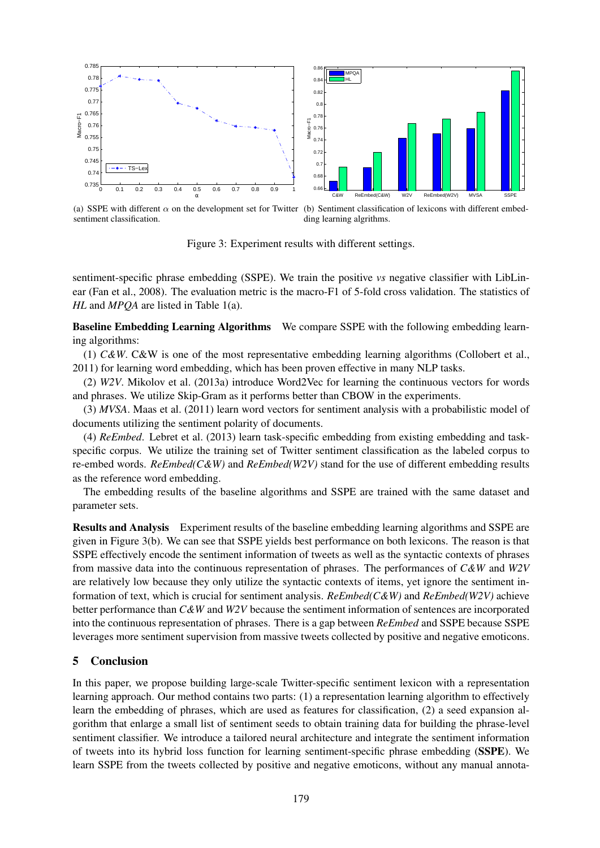

(a) SSPE with different  $\alpha$  on the development set for Twitter (b) Sentiment classification of lexicons with different embedsentiment classification. ding learning algrithms.

Figure 3: Experiment results with different settings.

sentiment-specific phrase embedding (SSPE). We train the positive *vs* negative classifier with LibLinear (Fan et al., 2008). The evaluation metric is the macro-F1 of 5-fold cross validation. The statistics of *HL* and *MPQA* are listed in Table 1(a).

Baseline Embedding Learning Algorithms We compare SSPE with the following embedding learning algorithms:

(1) *C&W*. C&W is one of the most representative embedding learning algorithms (Collobert et al., 2011) for learning word embedding, which has been proven effective in many NLP tasks.

(2) *W2V*. Mikolov et al. (2013a) introduce Word2Vec for learning the continuous vectors for words and phrases. We utilize Skip-Gram as it performs better than CBOW in the experiments.

(3) *MVSA*. Maas et al. (2011) learn word vectors for sentiment analysis with a probabilistic model of documents utilizing the sentiment polarity of documents.

(4) *ReEmbed*. Lebret et al. (2013) learn task-specific embedding from existing embedding and taskspecific corpus. We utilize the training set of Twitter sentiment classification as the labeled corpus to re-embed words. *ReEmbed(C&W)* and *ReEmbed(W2V)* stand for the use of different embedding results as the reference word embedding.

The embedding results of the baseline algorithms and SSPE are trained with the same dataset and parameter sets.

Results and Analysis Experiment results of the baseline embedding learning algorithms and SSPE are given in Figure 3(b). We can see that SSPE yields best performance on both lexicons. The reason is that SSPE effectively encode the sentiment information of tweets as well as the syntactic contexts of phrases from massive data into the continuous representation of phrases. The performances of *C&W* and *W2V* are relatively low because they only utilize the syntactic contexts of items, yet ignore the sentiment information of text, which is crucial for sentiment analysis. *ReEmbed(C&W)* and *ReEmbed(W2V)* achieve better performance than *C&W* and *W2V* because the sentiment information of sentences are incorporated into the continuous representation of phrases. There is a gap between *ReEmbed* and SSPE because SSPE leverages more sentiment supervision from massive tweets collected by positive and negative emoticons.

## 5 Conclusion

In this paper, we propose building large-scale Twitter-specific sentiment lexicon with a representation learning approach. Our method contains two parts: (1) a representation learning algorithm to effectively learn the embedding of phrases, which are used as features for classification, (2) a seed expansion algorithm that enlarge a small list of sentiment seeds to obtain training data for building the phrase-level sentiment classifier. We introduce a tailored neural architecture and integrate the sentiment information of tweets into its hybrid loss function for learning sentiment-specific phrase embedding (SSPE). We learn SSPE from the tweets collected by positive and negative emoticons, without any manual annota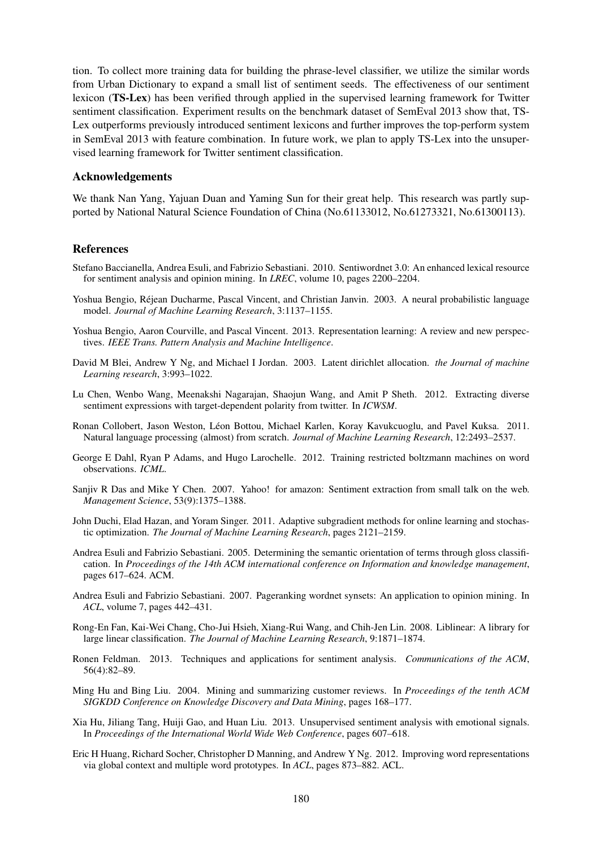tion. To collect more training data for building the phrase-level classifier, we utilize the similar words from Urban Dictionary to expand a small list of sentiment seeds. The effectiveness of our sentiment lexicon (TS-Lex) has been verified through applied in the supervised learning framework for Twitter sentiment classification. Experiment results on the benchmark dataset of SemEval 2013 show that, TS-Lex outperforms previously introduced sentiment lexicons and further improves the top-perform system in SemEval 2013 with feature combination. In future work, we plan to apply TS-Lex into the unsupervised learning framework for Twitter sentiment classification.

### Acknowledgements

We thank Nan Yang, Yajuan Duan and Yaming Sun for their great help. This research was partly supported by National Natural Science Foundation of China (No.61133012, No.61273321, No.61300113).

## References

- Stefano Baccianella, Andrea Esuli, and Fabrizio Sebastiani. 2010. Sentiwordnet 3.0: An enhanced lexical resource for sentiment analysis and opinion mining. In *LREC*, volume 10, pages 2200–2204.
- Yoshua Bengio, Rejean Ducharme, Pascal Vincent, and Christian Janvin. 2003. A neural probabilistic language ´ model. *Journal of Machine Learning Research*, 3:1137–1155.
- Yoshua Bengio, Aaron Courville, and Pascal Vincent. 2013. Representation learning: A review and new perspectives. *IEEE Trans. Pattern Analysis and Machine Intelligence*.
- David M Blei, Andrew Y Ng, and Michael I Jordan. 2003. Latent dirichlet allocation. *the Journal of machine Learning research*, 3:993–1022.
- Lu Chen, Wenbo Wang, Meenakshi Nagarajan, Shaojun Wang, and Amit P Sheth. 2012. Extracting diverse sentiment expressions with target-dependent polarity from twitter. In *ICWSM*.
- Ronan Collobert, Jason Weston, Leon Bottou, Michael Karlen, Koray Kavukcuoglu, and Pavel Kuksa. 2011. ´ Natural language processing (almost) from scratch. *Journal of Machine Learning Research*, 12:2493–2537.
- George E Dahl, Ryan P Adams, and Hugo Larochelle. 2012. Training restricted boltzmann machines on word observations. *ICML*.
- Sanjiv R Das and Mike Y Chen. 2007. Yahoo! for amazon: Sentiment extraction from small talk on the web. *Management Science*, 53(9):1375–1388.
- John Duchi, Elad Hazan, and Yoram Singer. 2011. Adaptive subgradient methods for online learning and stochastic optimization. *The Journal of Machine Learning Research*, pages 2121–2159.
- Andrea Esuli and Fabrizio Sebastiani. 2005. Determining the semantic orientation of terms through gloss classification. In *Proceedings of the 14th ACM international conference on Information and knowledge management*, pages 617–624. ACM.
- Andrea Esuli and Fabrizio Sebastiani. 2007. Pageranking wordnet synsets: An application to opinion mining. In *ACL*, volume 7, pages 442–431.
- Rong-En Fan, Kai-Wei Chang, Cho-Jui Hsieh, Xiang-Rui Wang, and Chih-Jen Lin. 2008. Liblinear: A library for large linear classification. *The Journal of Machine Learning Research*, 9:1871–1874.
- Ronen Feldman. 2013. Techniques and applications for sentiment analysis. *Communications of the ACM*, 56(4):82–89.
- Ming Hu and Bing Liu. 2004. Mining and summarizing customer reviews. In *Proceedings of the tenth ACM SIGKDD Conference on Knowledge Discovery and Data Mining*, pages 168–177.
- Xia Hu, Jiliang Tang, Huiji Gao, and Huan Liu. 2013. Unsupervised sentiment analysis with emotional signals. In *Proceedings of the International World Wide Web Conference*, pages 607–618.
- Eric H Huang, Richard Socher, Christopher D Manning, and Andrew Y Ng. 2012. Improving word representations via global context and multiple word prototypes. In *ACL*, pages 873–882. ACL.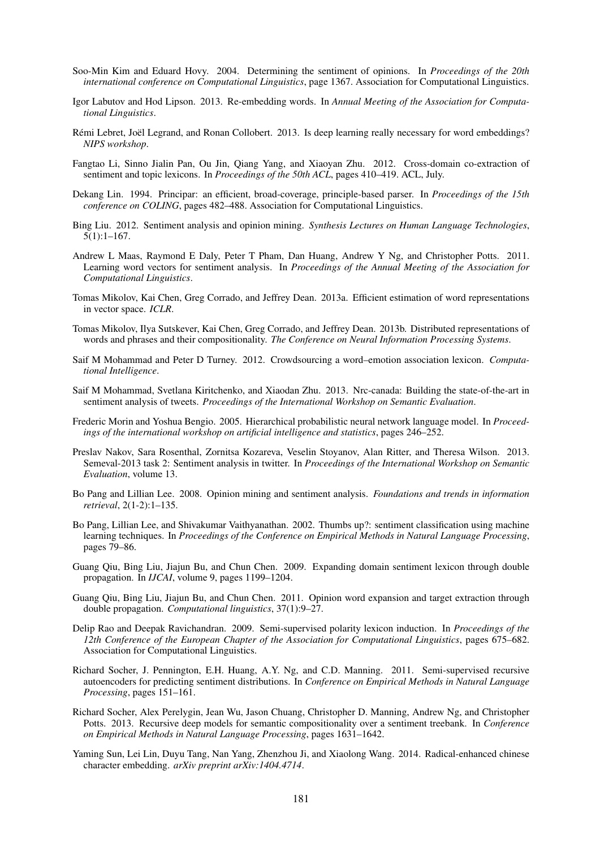- Soo-Min Kim and Eduard Hovy. 2004. Determining the sentiment of opinions. In *Proceedings of the 20th international conference on Computational Linguistics*, page 1367. Association for Computational Linguistics.
- Igor Labutov and Hod Lipson. 2013. Re-embedding words. In *Annual Meeting of the Association for Computational Linguistics*.
- Rémi Lebret, Joël Legrand, and Ronan Collobert. 2013. Is deep learning really necessary for word embeddings? *NIPS workshop*.
- Fangtao Li, Sinno Jialin Pan, Ou Jin, Qiang Yang, and Xiaoyan Zhu. 2012. Cross-domain co-extraction of sentiment and topic lexicons. In *Proceedings of the 50th ACL*, pages 410–419. ACL, July.
- Dekang Lin. 1994. Principar: an efficient, broad-coverage, principle-based parser. In *Proceedings of the 15th conference on COLING*, pages 482–488. Association for Computational Linguistics.
- Bing Liu. 2012. Sentiment analysis and opinion mining. *Synthesis Lectures on Human Language Technologies*, 5(1):1–167.
- Andrew L Maas, Raymond E Daly, Peter T Pham, Dan Huang, Andrew Y Ng, and Christopher Potts. 2011. Learning word vectors for sentiment analysis. In *Proceedings of the Annual Meeting of the Association for Computational Linguistics*.
- Tomas Mikolov, Kai Chen, Greg Corrado, and Jeffrey Dean. 2013a. Efficient estimation of word representations in vector space. *ICLR*.
- Tomas Mikolov, Ilya Sutskever, Kai Chen, Greg Corrado, and Jeffrey Dean. 2013b. Distributed representations of words and phrases and their compositionality. *The Conference on Neural Information Processing Systems*.
- Saif M Mohammad and Peter D Turney. 2012. Crowdsourcing a word–emotion association lexicon. *Computational Intelligence*.
- Saif M Mohammad, Svetlana Kiritchenko, and Xiaodan Zhu. 2013. Nrc-canada: Building the state-of-the-art in sentiment analysis of tweets. *Proceedings of the International Workshop on Semantic Evaluation*.
- Frederic Morin and Yoshua Bengio. 2005. Hierarchical probabilistic neural network language model. In *Proceedings of the international workshop on artificial intelligence and statistics*, pages 246–252.
- Preslav Nakov, Sara Rosenthal, Zornitsa Kozareva, Veselin Stoyanov, Alan Ritter, and Theresa Wilson. 2013. Semeval-2013 task 2: Sentiment analysis in twitter. In *Proceedings of the International Workshop on Semantic Evaluation*, volume 13.
- Bo Pang and Lillian Lee. 2008. Opinion mining and sentiment analysis. *Foundations and trends in information retrieval*, 2(1-2):1–135.
- Bo Pang, Lillian Lee, and Shivakumar Vaithyanathan. 2002. Thumbs up?: sentiment classification using machine learning techniques. In *Proceedings of the Conference on Empirical Methods in Natural Language Processing*, pages 79–86.
- Guang Qiu, Bing Liu, Jiajun Bu, and Chun Chen. 2009. Expanding domain sentiment lexicon through double propagation. In *IJCAI*, volume 9, pages 1199–1204.
- Guang Qiu, Bing Liu, Jiajun Bu, and Chun Chen. 2011. Opinion word expansion and target extraction through double propagation. *Computational linguistics*, 37(1):9–27.
- Delip Rao and Deepak Ravichandran. 2009. Semi-supervised polarity lexicon induction. In *Proceedings of the 12th Conference of the European Chapter of the Association for Computational Linguistics*, pages 675–682. Association for Computational Linguistics.
- Richard Socher, J. Pennington, E.H. Huang, A.Y. Ng, and C.D. Manning. 2011. Semi-supervised recursive autoencoders for predicting sentiment distributions. In *Conference on Empirical Methods in Natural Language Processing*, pages 151–161.
- Richard Socher, Alex Perelygin, Jean Wu, Jason Chuang, Christopher D. Manning, Andrew Ng, and Christopher Potts. 2013. Recursive deep models for semantic compositionality over a sentiment treebank. In *Conference on Empirical Methods in Natural Language Processing*, pages 1631–1642.
- Yaming Sun, Lei Lin, Duyu Tang, Nan Yang, Zhenzhou Ji, and Xiaolong Wang. 2014. Radical-enhanced chinese character embedding. *arXiv preprint arXiv:1404.4714*.